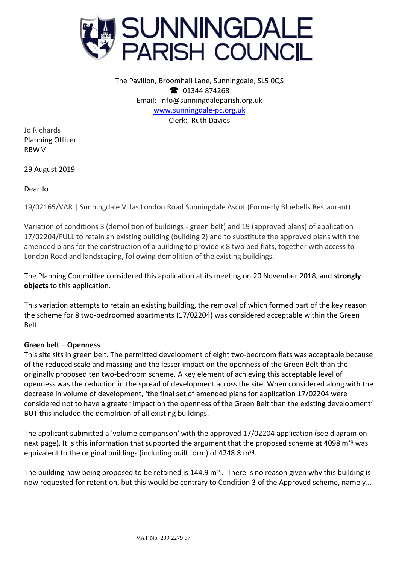

The Pavilion, Broomhall Lane, Sunningdale, SL5 0QS **12** 01344 874268 Email: info@sunningdaleparish.org.uk [www.sunningdale-pc.org.uk](http://www.sunningdale-pc.org.uk/) Clerk: Ruth Davies

Jo Richards Planning Officer RBWM

29 August 2019

Dear Jo

19/02165/VAR | Sunningdale Villas London Road Sunningdale Ascot (Formerly Bluebells Restaurant)

Variation of conditions 3 (demolition of buildings - green belt) and 19 (approved plans) of application 17/02204/FULL to retain an existing building (building 2) and to substitute the approved plans with the amended plans for the construction of a building to provide x 8 two bed flats, together with access to London Road and landscaping, following demolition of the existing buildings.

The Planning Committee considered this application at its meeting on 20 November 2018, and **strongly objects** to this application.

This variation attempts to retain an existing building, the removal of which formed part of the key reason the scheme for 8 two-bedroomed apartments (17/02204) was considered acceptable within the Green Belt.

## **Green belt – Openness**

This site sits in green belt. The permitted development of eight two-bedroom flats was acceptable because of the reduced scale and massing and the lesser impact on the openness of the Green Belt than the originally proposed ten two-bedroom scheme. A key element of achieving this acceptable level of openness was the reduction in the spread of development across the site. When considered along with the decrease in volume of development, 'the final set of amended plans for application 17/02204 were considered not to have a greater impact on the openness of the Green Belt than the existing development' BUT this included the demolition of all existing buildings.

The applicant submitted a 'volume comparison' with the approved 17/02204 application (see diagram on next page). It is this information that supported the argument that the proposed scheme at 4098 m<sup>sq</sup> was equivalent to the original buildings (including built form) of 4248.8 m<sup>sq</sup>.

The building now being proposed to be retained is 144.9 m<sup>sq</sup>. There is no reason given why this building is now requested for retention, but this would be contrary to Condition 3 of the Approved scheme, namely…